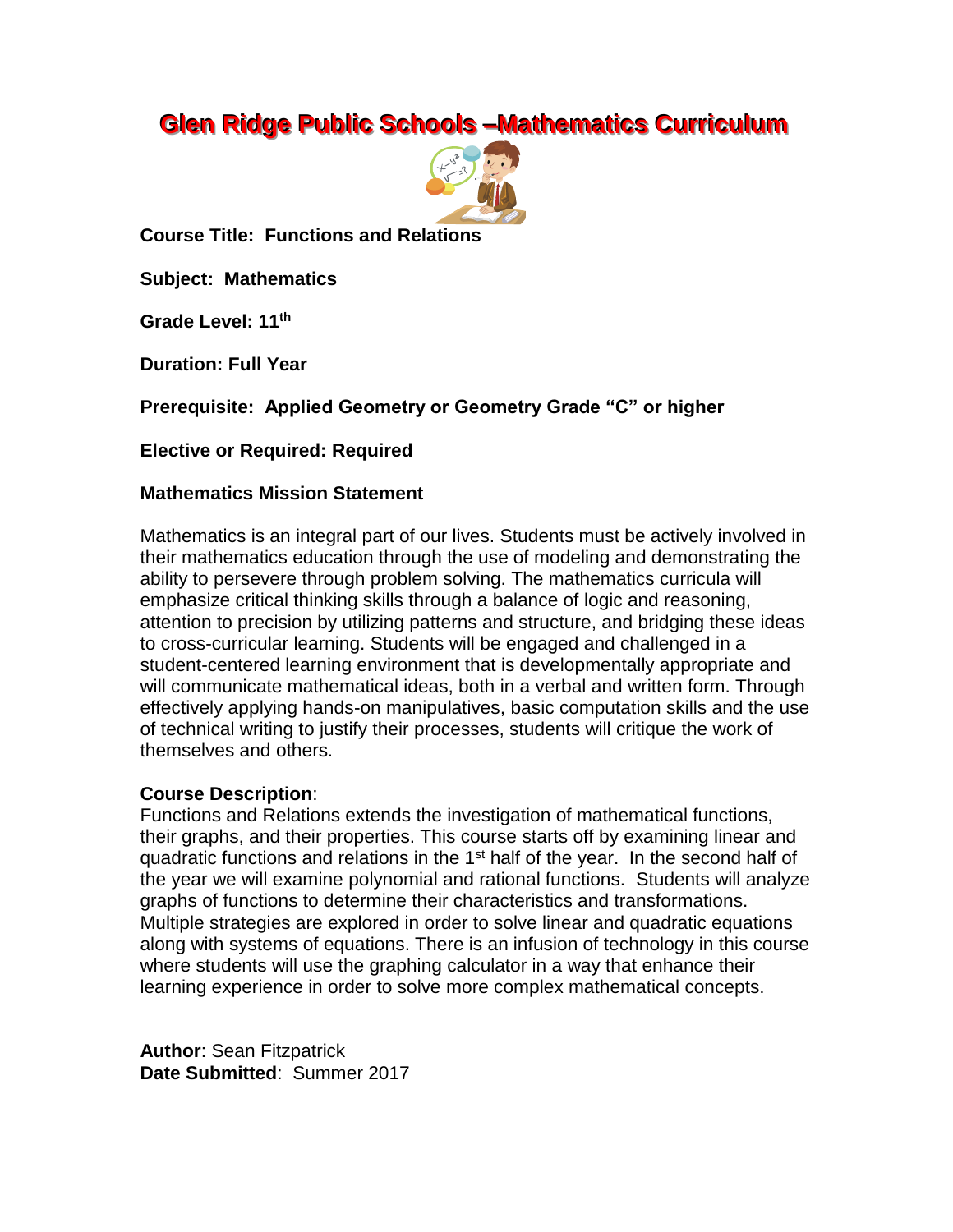# **Glen Ridge Public Schools -Mathematics Curriculum**



**Course Title: Functions and Relations**

**Subject: Mathematics**

**Grade Level: 11th**

**Duration: Full Year**

**Prerequisite: Applied Geometry or Geometry Grade "C" or higher**

**Elective or Required: Required**

#### **Mathematics Mission Statement**

Mathematics is an integral part of our lives. Students must be actively involved in their mathematics education through the use of modeling and demonstrating the ability to persevere through problem solving. The mathematics curricula will emphasize critical thinking skills through a balance of logic and reasoning, attention to precision by utilizing patterns and structure, and bridging these ideas to cross-curricular learning. Students will be engaged and challenged in a student-centered learning environment that is developmentally appropriate and will communicate mathematical ideas, both in a verbal and written form. Through effectively applying hands-on manipulatives, basic computation skills and the use of technical writing to justify their processes, students will critique the work of themselves and others.

## **Course Description**:

Functions and Relations extends the investigation of mathematical functions, their graphs, and their properties. This course starts off by examining linear and quadratic functions and relations in the  $1<sup>st</sup>$  half of the year. In the second half of the year we will examine polynomial and rational functions. Students will analyze graphs of functions to determine their characteristics and transformations. Multiple strategies are explored in order to solve linear and quadratic equations along with systems of equations. There is an infusion of technology in this course where students will use the graphing calculator in a way that enhance their learning experience in order to solve more complex mathematical concepts.

**Author**: Sean Fitzpatrick **Date Submitted**: Summer 2017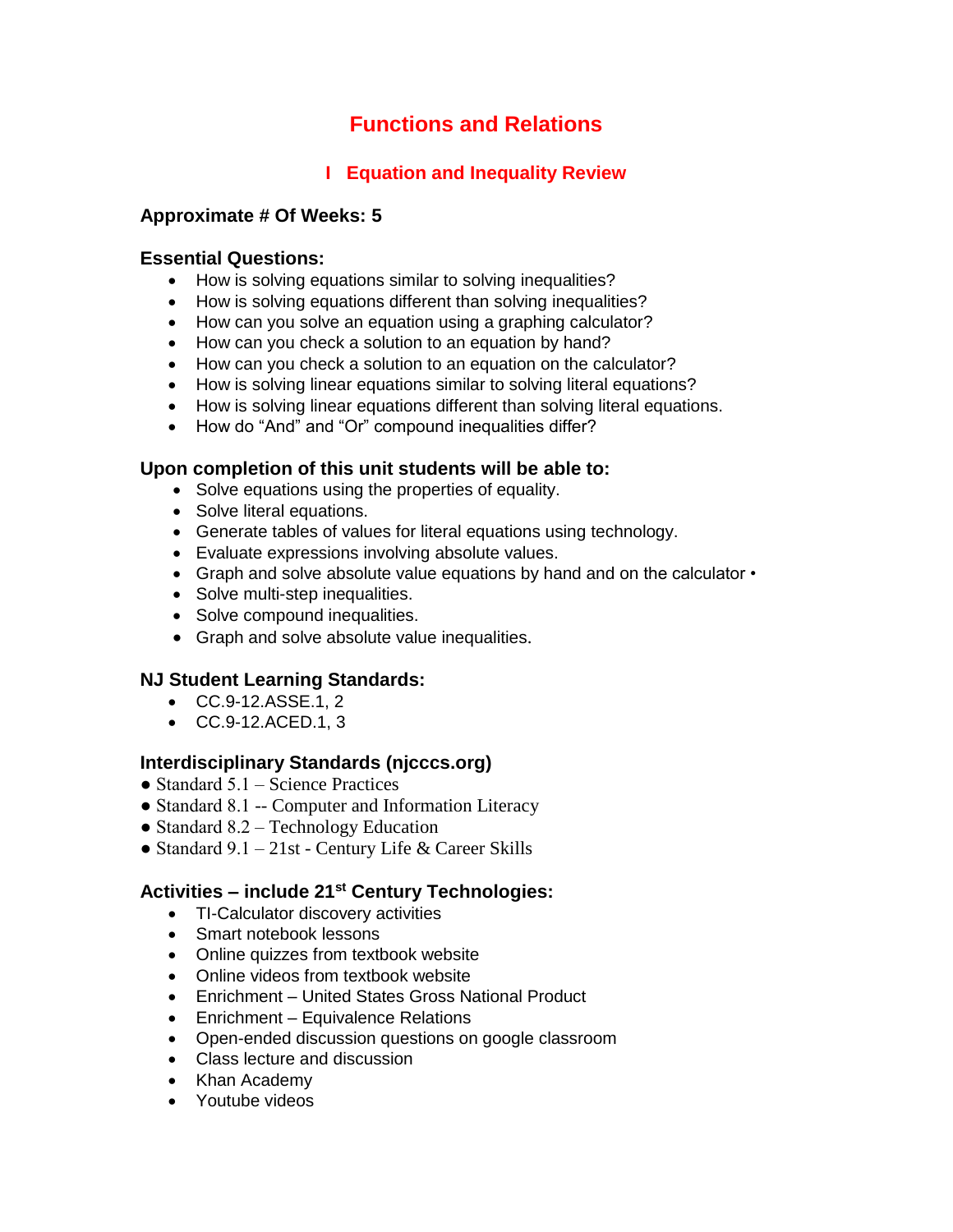## **Functions and Relations**

## **I Equation and Inequality Review**

## **Approximate # Of Weeks: 5**

### **Essential Questions:**

- How is solving equations similar to solving inequalities?
- How is solving equations different than solving inequalities?
- How can you solve an equation using a graphing calculator?
- How can you check a solution to an equation by hand?
- How can you check a solution to an equation on the calculator?
- How is solving linear equations similar to solving literal equations?
- How is solving linear equations different than solving literal equations.
- How do "And" and "Or" compound inequalities differ?

## **Upon completion of this unit students will be able to:**

- Solve equations using the properties of equality.
- Solve literal equations.
- Generate tables of values for literal equations using technology.
- Evaluate expressions involving absolute values.
- Graph and solve absolute value equations by hand and on the calculator •
- Solve multi-step inequalities.
- Solve compound inequalities.
- Graph and solve absolute value inequalities.

## **NJ Student Learning Standards:**

- CC.9-12.ASSE.1, 2
- CC.9-12.ACED.1, 3

## **Interdisciplinary Standards (njcccs.org)**

- $\bullet$  Standard 5.1 Science Practices
- Standard 8.1 -- Computer and Information Literacy
- Standard 8.2 Technology Education
- Standard 9.1 21st Century Life & Career Skills

## **Activities – include 21st Century Technologies:**

- TI-Calculator discovery activities
- Smart notebook lessons
- Online quizzes from textbook website
- Online videos from textbook website
- Enrichment United States Gross National Product
- Enrichment Equivalence Relations
- Open-ended discussion questions on google classroom
- Class lecture and discussion
- Khan Academy
- Youtube videos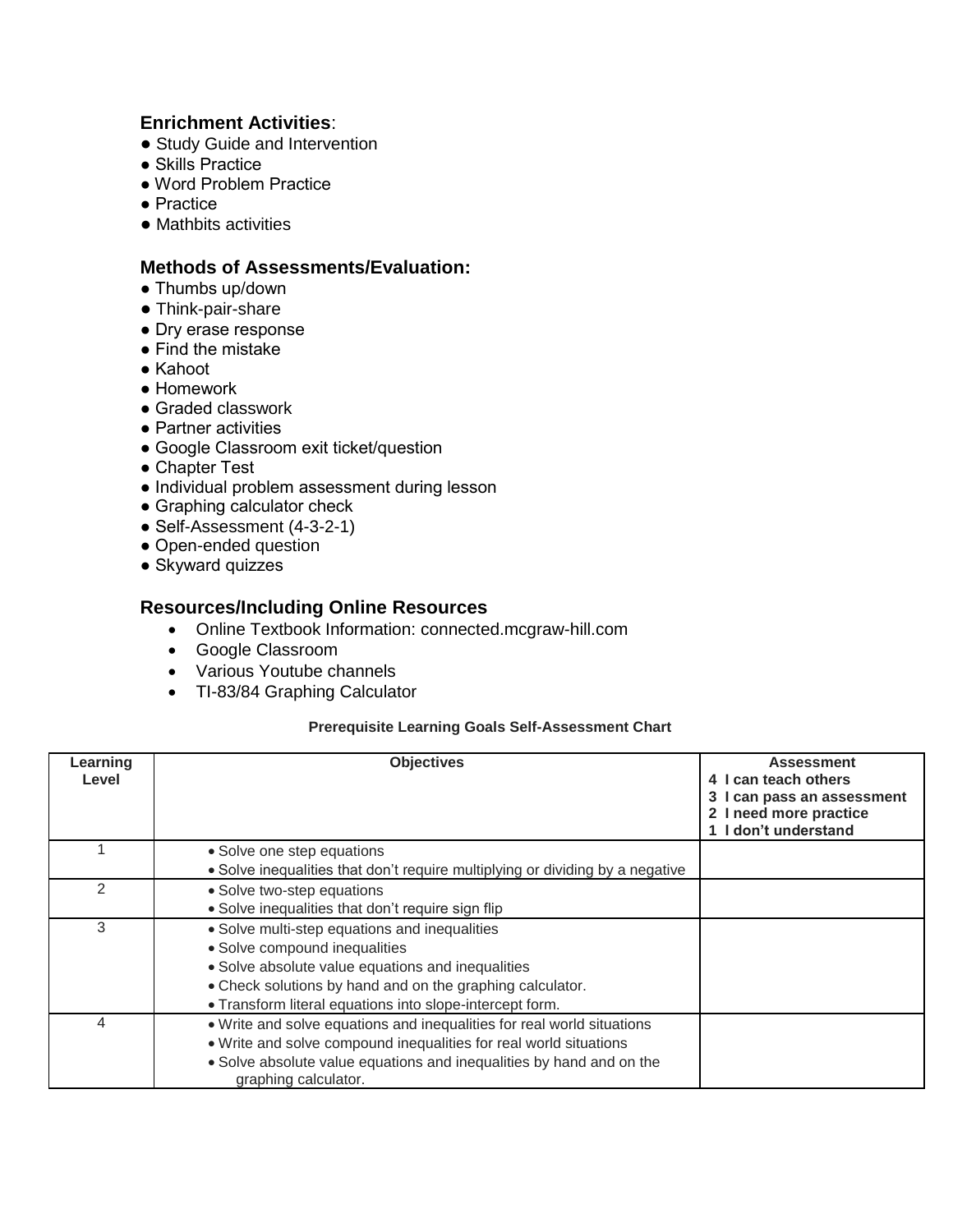## **Enrichment Activities**:

- Study Guide and Intervention
- Skills Practice
- Word Problem Practice
- Practice
- Mathbits activities

## **Methods of Assessments/Evaluation:**

- Thumbs up/down
- Think-pair-share
- Dry erase response
- Find the mistake
- Kahoot
- Homework
- Graded classwork
- Partner activities
- Google Classroom exit ticket/question
- Chapter Test
- Individual problem assessment during lesson
- Graphing calculator check
- Self-Assessment (4-3-2-1)
- Open-ended question
- Skyward quizzes

## **Resources/Including Online Resources**

- Online Textbook Information: connected.mcgraw-hill.com
- Google Classroom
- Various Youtube channels
- TI-83/84 Graphing Calculator

#### **Prerequisite Learning Goals Self-Assessment Chart**

| Learning<br>Level | <b>Objectives</b>                                                                                                                                                                                                                                            | <b>Assessment</b><br>4 I can teach others<br>3 I can pass an assessment<br>I need more practice<br>I don't understand |
|-------------------|--------------------------------------------------------------------------------------------------------------------------------------------------------------------------------------------------------------------------------------------------------------|-----------------------------------------------------------------------------------------------------------------------|
|                   | • Solve one step equations<br>• Solve inequalities that don't require multiplying or dividing by a negative                                                                                                                                                  |                                                                                                                       |
| 2                 | • Solve two-step equations<br>• Solve inequalities that don't require sign flip                                                                                                                                                                              |                                                                                                                       |
| 3                 | • Solve multi-step equations and inequalities<br>• Solve compound inequalities<br>• Solve absolute value equations and inequalities<br>• Check solutions by hand and on the graphing calculator.<br>. Transform literal equations into slope-intercept form. |                                                                                                                       |
| 4                 | . Write and solve equations and inequalities for real world situations<br>. Write and solve compound inequalities for real world situations<br>• Solve absolute value equations and inequalities by hand and on the<br>graphing calculator.                  |                                                                                                                       |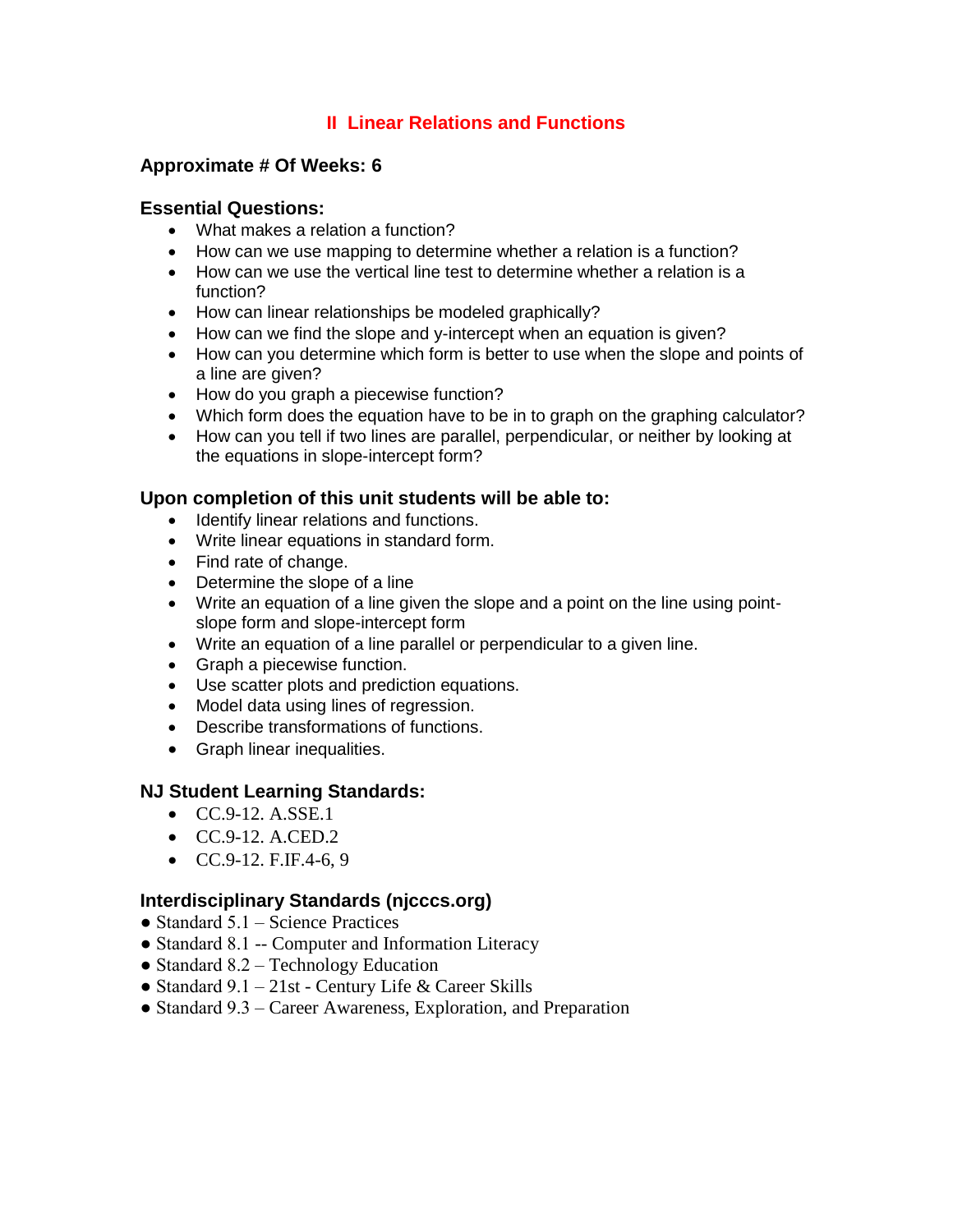## **II Linear Relations and Functions**

## **Approximate # Of Weeks: 6**

#### **Essential Questions:**

- What makes a relation a function?
- How can we use mapping to determine whether a relation is a function?
- How can we use the vertical line test to determine whether a relation is a function?
- How can linear relationships be modeled graphically?
- How can we find the slope and y-intercept when an equation is given?
- How can you determine which form is better to use when the slope and points of a line are given?
- How do you graph a piecewise function?
- Which form does the equation have to be in to graph on the graphing calculator?
- How can you tell if two lines are parallel, perpendicular, or neither by looking at the equations in slope-intercept form?

#### **Upon completion of this unit students will be able to:**

- Identify linear relations and functions.
- Write linear equations in standard form.
- Find rate of change.
- Determine the slope of a line
- Write an equation of a line given the slope and a point on the line using pointslope form and slope-intercept form
- Write an equation of a line parallel or perpendicular to a given line.
- Graph a piecewise function.
- Use scatter plots and prediction equations.
- Model data using lines of regression.
- Describe transformations of functions.
- Graph linear inequalities.

#### **NJ Student Learning Standards:**

- $CC.9-12. A. SSE.1$
- $\bullet$  CC.9-12. A.CED.2
- $CC.9-12.$  F.IF.4-6, 9

## **Interdisciplinary Standards (njcccs.org)**

- Standard  $5.1$  Science Practices
- Standard 8.1 -- Computer and Information Literacy
- Standard 8.2 Technology Education
- Standard  $9.1 21$ st Century Life & Career Skills
- Standard 9.3 Career Awareness, Exploration, and Preparation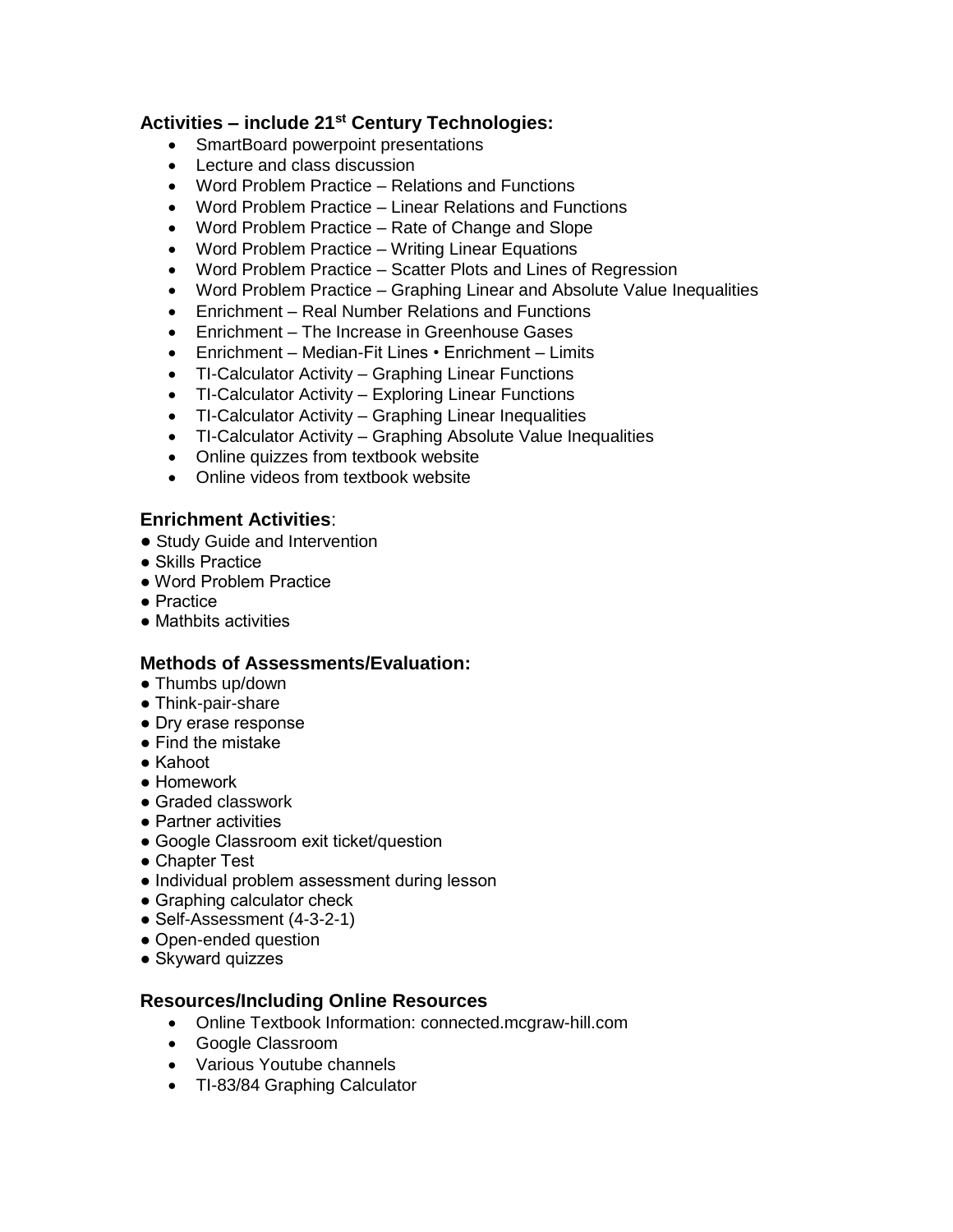## **Activities – include 21st Century Technologies:**

- SmartBoard powerpoint presentations
- Lecture and class discussion
- Word Problem Practice Relations and Functions
- Word Problem Practice Linear Relations and Functions
- Word Problem Practice Rate of Change and Slope
- Word Problem Practice Writing Linear Equations
- Word Problem Practice Scatter Plots and Lines of Regression
- Word Problem Practice Graphing Linear and Absolute Value Inequalities
- Enrichment Real Number Relations and Functions
- Enrichment The Increase in Greenhouse Gases
- Enrichment Median-Fit Lines Enrichment Limits
- TI-Calculator Activity Graphing Linear Functions
- TI-Calculator Activity Exploring Linear Functions
- TI-Calculator Activity Graphing Linear Inequalities
- TI-Calculator Activity Graphing Absolute Value Inequalities
- Online quizzes from textbook website
- Online videos from textbook website

### **Enrichment Activities**:

- Study Guide and Intervention
- Skills Practice
- Word Problem Practice
- Practice
- Mathbits activities

## **Methods of Assessments/Evaluation:**

- Thumbs up/down
- Think-pair-share
- Dry erase response
- Find the mistake
- Kahoot
- Homework
- Graded classwork
- Partner activities
- Google Classroom exit ticket/question
- Chapter Test
- Individual problem assessment during lesson
- Graphing calculator check
- Self-Assessment (4-3-2-1)
- Open-ended question
- Skyward quizzes

#### **Resources/Including Online Resources**

- Online Textbook Information: connected.mcgraw-hill.com
- Google Classroom
- Various Youtube channels
- TI-83/84 Graphing Calculator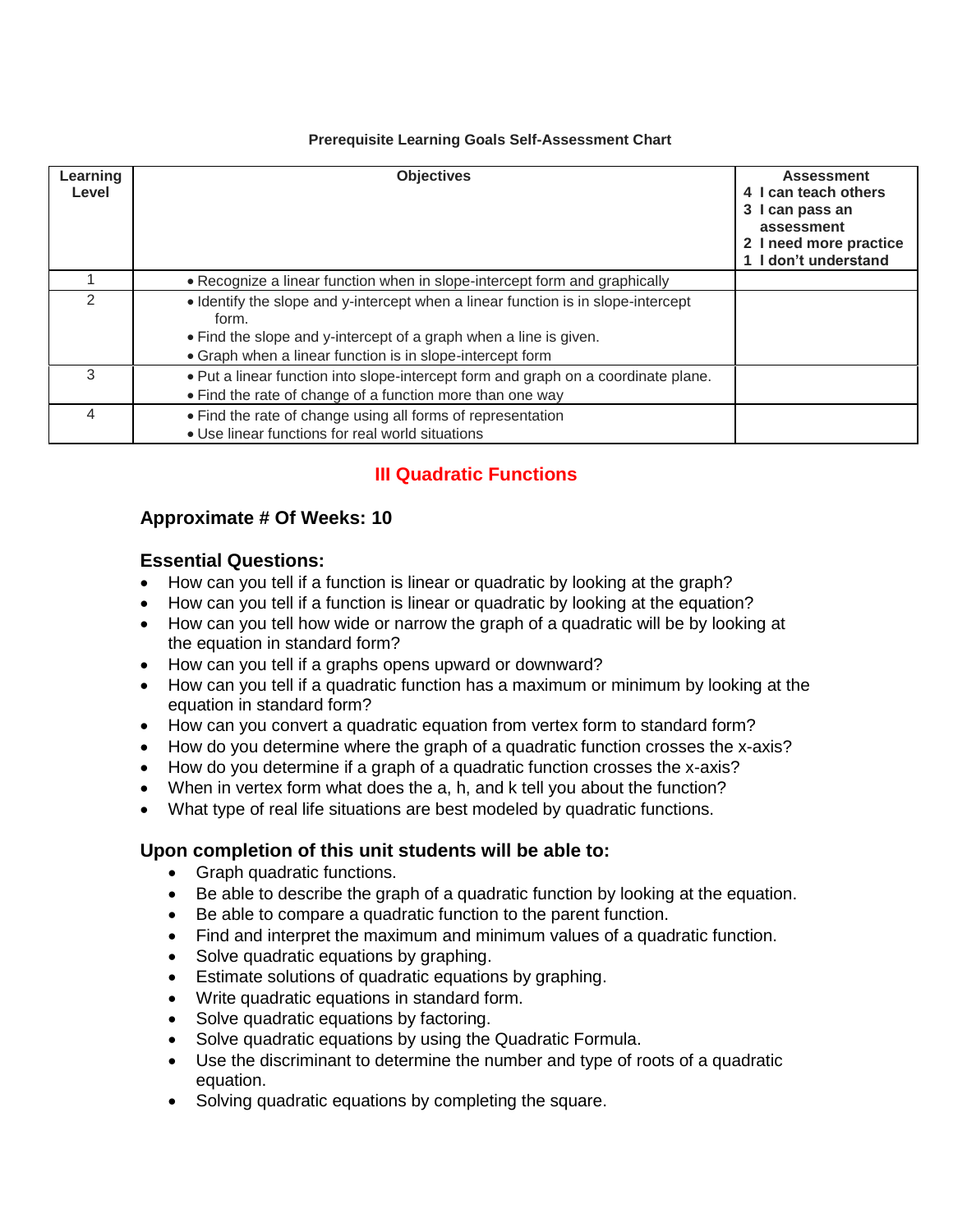#### **Prerequisite Learning Goals Self-Assessment Chart**

| Learning<br>Level | <b>Objectives</b>                                                                                                                                                                                                            | <b>Assessment</b><br>4 I can teach others<br>3 I can pass an<br>assessment<br>2 I need more practice<br>1 I don't understand |
|-------------------|------------------------------------------------------------------------------------------------------------------------------------------------------------------------------------------------------------------------------|------------------------------------------------------------------------------------------------------------------------------|
|                   | • Recognize a linear function when in slope-intercept form and graphically                                                                                                                                                   |                                                                                                                              |
| $\mathcal{P}$     | • Identify the slope and y-intercept when a linear function is in slope-intercept<br>form.<br>• Find the slope and y-intercept of a graph when a line is given.<br>• Graph when a linear function is in slope-intercept form |                                                                                                                              |
| 3                 | . Put a linear function into slope-intercept form and graph on a coordinate plane.<br>• Find the rate of change of a function more than one way                                                                              |                                                                                                                              |
| 4                 | • Find the rate of change using all forms of representation<br>• Use linear functions for real world situations                                                                                                              |                                                                                                                              |

## **III Quadratic Functions**

## **Approximate # Of Weeks: 10**

## **Essential Questions:**

- How can you tell if a function is linear or quadratic by looking at the graph?
- How can you tell if a function is linear or quadratic by looking at the equation?
- How can you tell how wide or narrow the graph of a quadratic will be by looking at the equation in standard form?
- How can you tell if a graphs opens upward or downward?
- How can you tell if a quadratic function has a maximum or minimum by looking at the equation in standard form?
- How can you convert a quadratic equation from vertex form to standard form?
- How do you determine where the graph of a quadratic function crosses the x-axis?
- How do you determine if a graph of a quadratic function crosses the x-axis?
- When in vertex form what does the a, h, and k tell you about the function?
- What type of real life situations are best modeled by quadratic functions.

## **Upon completion of this unit students will be able to:**

- Graph quadratic functions.
- Be able to describe the graph of a quadratic function by looking at the equation.
- Be able to compare a quadratic function to the parent function.
- Find and interpret the maximum and minimum values of a quadratic function.
- Solve quadratic equations by graphing.
- Estimate solutions of quadratic equations by graphing.
- Write quadratic equations in standard form.
- Solve quadratic equations by factoring.
- Solve quadratic equations by using the Quadratic Formula.
- Use the discriminant to determine the number and type of roots of a quadratic equation.
- Solving quadratic equations by completing the square.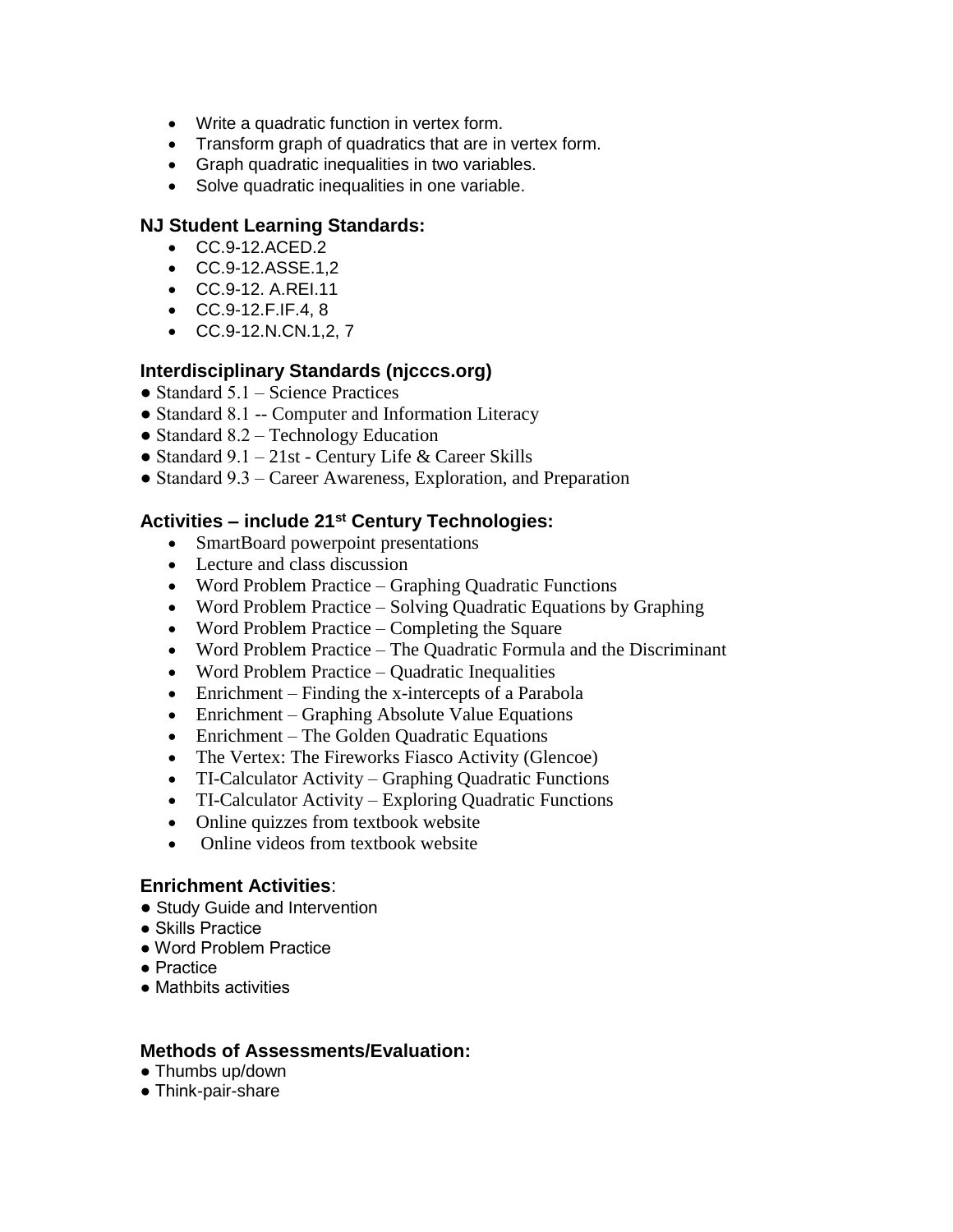- Write a quadratic function in vertex form.
- Transform graph of quadratics that are in vertex form.
- Graph quadratic inequalities in two variables.
- Solve quadratic inequalities in one variable.

#### **NJ Student Learning Standards:**

- CC.9-12.ACED.2
- CC.9-12.ASSE.1,2
- CC.9-12. A.REI.11
- CC.9-12.F.IF.4, 8
- $\bullet$  CC.9-12.N.CN.1,2, 7

#### **Interdisciplinary Standards (njcccs.org)**

- Standard  $5.1$  Science Practices
- Standard 8.1 -- Computer and Information Literacy
- Standard 8.2 Technology Education
- Standard  $9.1 21$ st Century Life & Career Skills
- Standard 9.3 Career Awareness, Exploration, and Preparation

#### **Activities – include 21st Century Technologies:**

- SmartBoard powerpoint presentations
- Lecture and class discussion
- Word Problem Practice Graphing Quadratic Functions
- Word Problem Practice Solving Quadratic Equations by Graphing
- Word Problem Practice Completing the Square
- Word Problem Practice The Quadratic Formula and the Discriminant
- Word Problem Practice Quadratic Inequalities
- Enrichment Finding the x-intercepts of a Parabola
- Enrichment Graphing Absolute Value Equations
- Enrichment The Golden Quadratic Equations
- The Vertex: The Fireworks Fiasco Activity (Glencoe)
- TI-Calculator Activity Graphing Quadratic Functions
- TI-Calculator Activity Exploring Quadratic Functions
- Online quizzes from textbook website
- Online videos from textbook website

#### **Enrichment Activities**:

- Study Guide and Intervention
- Skills Practice
- Word Problem Practice
- Practice
- Mathbits activities

#### **Methods of Assessments/Evaluation:**

- Thumbs up/down
- Think-pair-share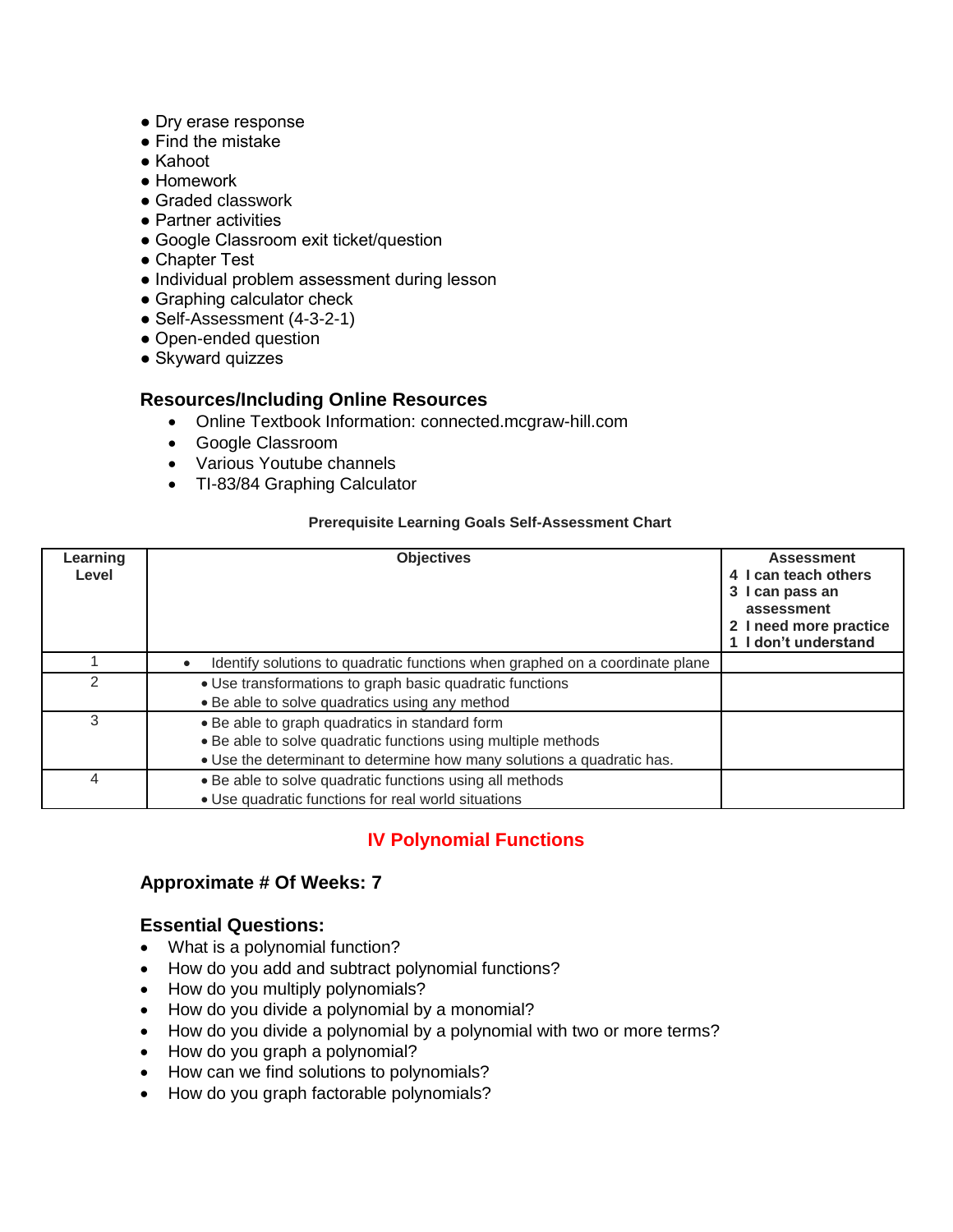- Dry erase response
- Find the mistake
- Kahoot
- Homework
- Graded classwork
- Partner activities
- Google Classroom exit ticket/question
- Chapter Test
- Individual problem assessment during lesson
- Graphing calculator check
- Self-Assessment (4-3-2-1)
- Open-ended question
- Skyward quizzes

### **Resources/Including Online Resources**

- Online Textbook Information: connected.mcgraw-hill.com
- Google Classroom
- Various Youtube channels
- TI-83/84 Graphing Calculator

#### **Prerequisite Learning Goals Self-Assessment Chart**

| Learning<br>Level | <b>Objectives</b>                                                                                                                                                                         | <b>Assessment</b><br>4 I can teach others<br>3 I can pass an<br>assessment<br>2 I need more practice<br>1 I don't understand |
|-------------------|-------------------------------------------------------------------------------------------------------------------------------------------------------------------------------------------|------------------------------------------------------------------------------------------------------------------------------|
|                   | Identify solutions to quadratic functions when graphed on a coordinate plane                                                                                                              |                                                                                                                              |
|                   | • Use transformations to graph basic quadratic functions<br>• Be able to solve quadratics using any method                                                                                |                                                                                                                              |
| 3                 | • Be able to graph quadratics in standard form<br>• Be able to solve quadratic functions using multiple methods<br>• Use the determinant to determine how many solutions a quadratic has. |                                                                                                                              |
| 4                 | . Be able to solve quadratic functions using all methods<br>• Use quadratic functions for real world situations                                                                           |                                                                                                                              |

## **IV Polynomial Functions**

## **Approximate # Of Weeks: 7**

#### **Essential Questions:**

- What is a polynomial function?
- How do you add and subtract polynomial functions?
- How do you multiply polynomials?
- How do you divide a polynomial by a monomial?
- How do you divide a polynomial by a polynomial with two or more terms?
- How do you graph a polynomial?
- How can we find solutions to polynomials?
- How do you graph factorable polynomials?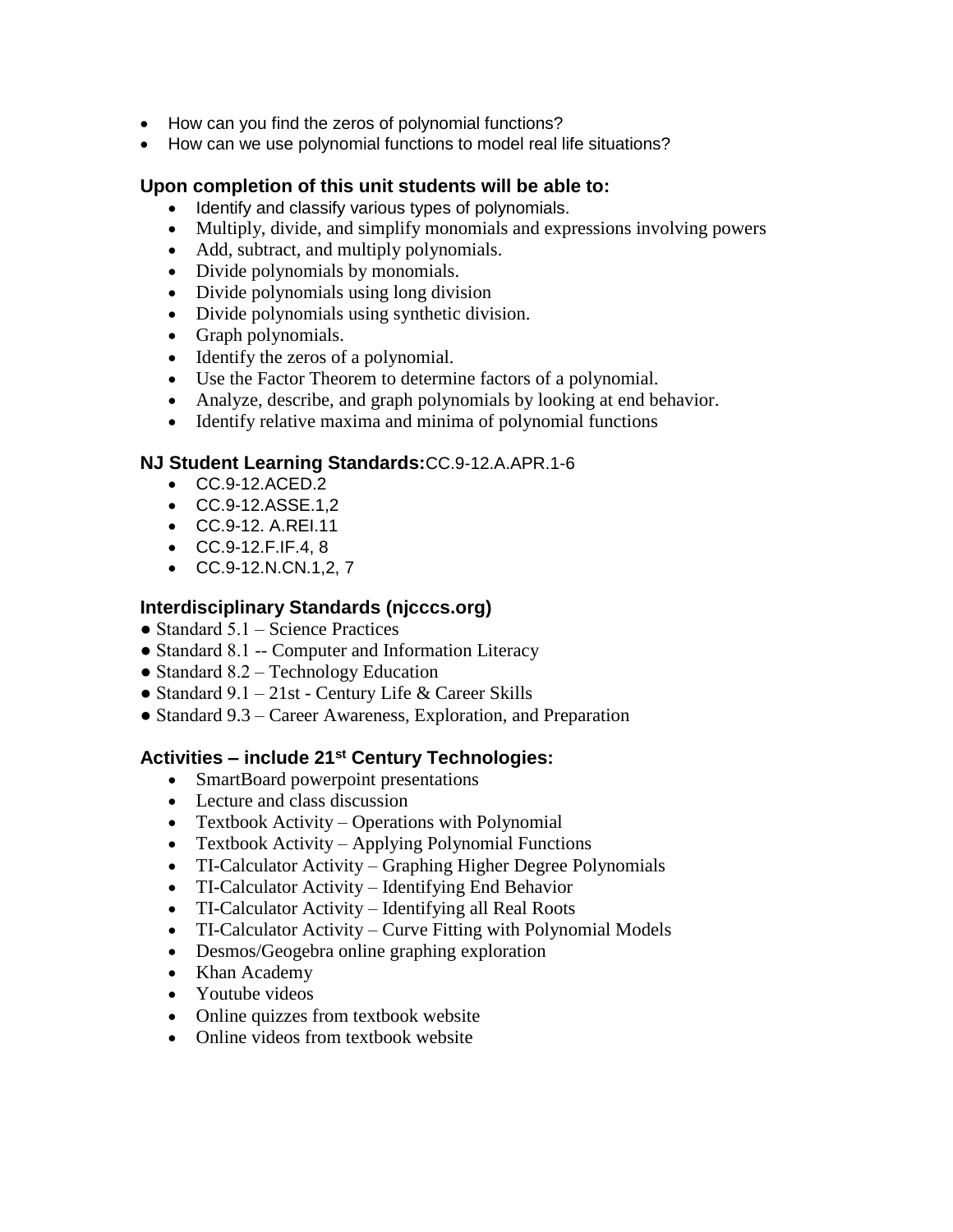- How can you find the zeros of polynomial functions?
- How can we use polynomial functions to model real life situations?

## **Upon completion of this unit students will be able to:**

- Identify and classify various types of polynomials.
- Multiply, divide, and simplify monomials and expressions involving powers
- Add, subtract, and multiply polynomials.
- Divide polynomials by monomials.
- Divide polynomials using long division
- Divide polynomials using synthetic division.
- Graph polynomials.
- Identify the zeros of a polynomial.
- Use the Factor Theorem to determine factors of a polynomial.
- Analyze, describe, and graph polynomials by looking at end behavior.
- Identify relative maxima and minima of polynomial functions

### **NJ Student Learning Standards:**CC.9-12.A.APR.1-6

- CC.9-12.ACED.2
- CC.9-12.ASSE.1,2
- CC.9-12. A.REI.11
- CC.9-12.F.IF.4, 8
- CC.9-12.N.CN.1,2, 7

## **Interdisciplinary Standards (njcccs.org)**

- Standard  $5.1$  Science Practices
- Standard 8.1 -- Computer and Information Literacy
- Standard 8.2 Technology Education
- Standard  $9.1 21$ st Century Life & Career Skills
- Standard 9.3 Career Awareness, Exploration, and Preparation

## **Activities – include 21st Century Technologies:**

- SmartBoard powerpoint presentations
- Lecture and class discussion
- Textbook Activity Operations with Polynomial
- Textbook Activity Applying Polynomial Functions
- TI-Calculator Activity Graphing Higher Degree Polynomials
- TI-Calculator Activity Identifying End Behavior
- TI-Calculator Activity Identifying all Real Roots
- TI-Calculator Activity Curve Fitting with Polynomial Models
- Desmos/Geogebra online graphing exploration
- Khan Academy
- Youtube videos
- Online quizzes from textbook website
- Online videos from textbook website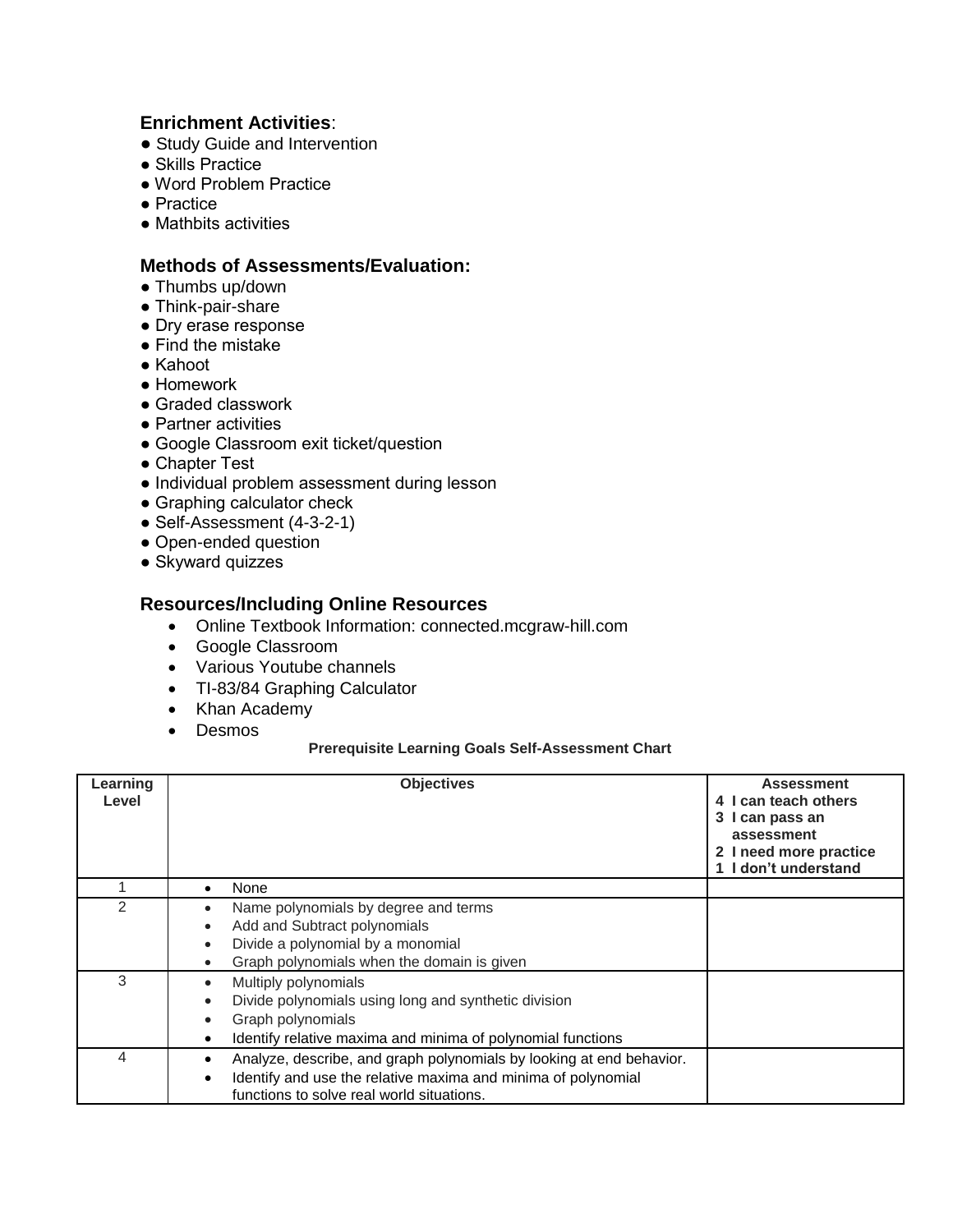## **Enrichment Activities**:

- Study Guide and Intervention
- Skills Practice
- Word Problem Practice
- Practice
- Mathbits activities

#### **Methods of Assessments/Evaluation:**

- Thumbs up/down
- Think-pair-share
- Dry erase response
- Find the mistake
- Kahoot
- Homework
- Graded classwork
- Partner activities
- Google Classroom exit ticket/question
- Chapter Test
- Individual problem assessment during lesson
- Graphing calculator check
- Self-Assessment (4-3-2-1)
- Open-ended question
- Skyward quizzes

### **Resources/Including Online Resources**

- Online Textbook Information: connected.mcgraw-hill.com
- Google Classroom
- Various Youtube channels
- TI-83/84 Graphing Calculator
- Khan Academy
- Desmos

#### **Prerequisite Learning Goals Self-Assessment Chart**

| Learning      | <b>Objectives</b>                                                    | <b>Assessment</b>      |
|---------------|----------------------------------------------------------------------|------------------------|
| Level         |                                                                      | 4 I can teach others   |
|               |                                                                      | 3 I can pass an        |
|               |                                                                      | assessment             |
|               |                                                                      | 2 I need more practice |
|               |                                                                      | 1 I don't understand   |
|               |                                                                      |                        |
|               | None                                                                 |                        |
| $\mathcal{P}$ | Name polynomials by degree and terms                                 |                        |
|               | Add and Subtract polynomials                                         |                        |
|               | Divide a polynomial by a monomial                                    |                        |
|               | Graph polynomials when the domain is given                           |                        |
| 3             | Multiply polynomials                                                 |                        |
|               | Divide polynomials using long and synthetic division                 |                        |
|               | Graph polynomials                                                    |                        |
|               | Identify relative maxima and minima of polynomial functions          |                        |
| 4             | Analyze, describe, and graph polynomials by looking at end behavior. |                        |
|               | Identify and use the relative maxima and minima of polynomial        |                        |
|               | functions to solve real world situations.                            |                        |
|               |                                                                      |                        |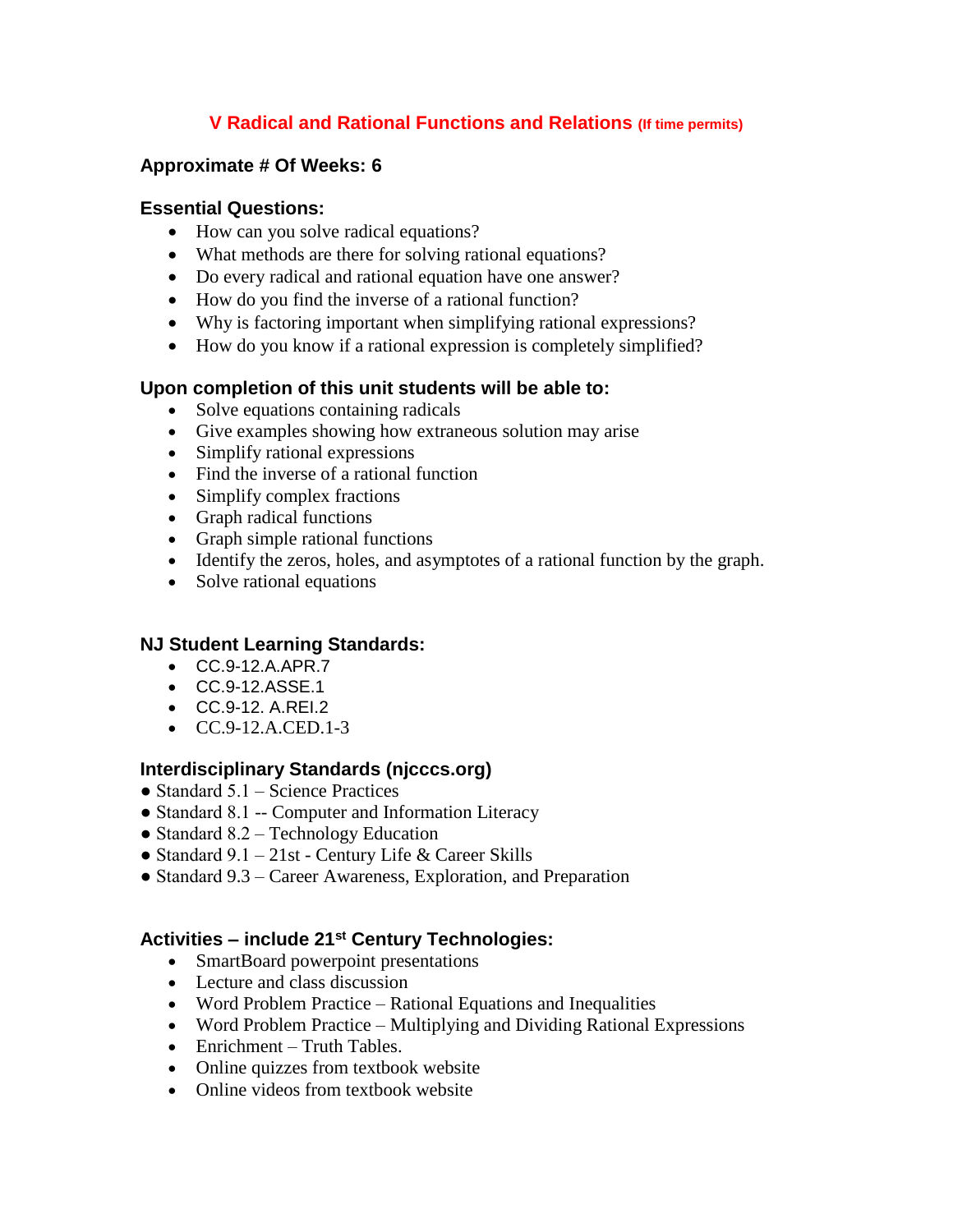## **V Radical and Rational Functions and Relations (If time permits)**

## **Approximate # Of Weeks: 6**

## **Essential Questions:**

- How can you solve radical equations?
- What methods are there for solving rational equations?
- Do every radical and rational equation have one answer?
- How do you find the inverse of a rational function?
- Why is factoring important when simplifying rational expressions?
- How do you know if a rational expression is completely simplified?

## **Upon completion of this unit students will be able to:**

- Solve equations containing radicals
- Give examples showing how extraneous solution may arise
- Simplify rational expressions
- Find the inverse of a rational function
- Simplify complex fractions
- Graph radical functions
- Graph simple rational functions
- Identify the zeros, holes, and asymptotes of a rational function by the graph.
- Solve rational equations

## **NJ Student Learning Standards:**

- CC.9-12.A.APR.7
- CC.9-12.ASSE.1
- CC.9-12. A.REI.2
- $CC.9-12.A. CED.1-3$

## **Interdisciplinary Standards (njcccs.org)**

- $\bullet$  Standard 5.1 Science Practices
- Standard 8.1 -- Computer and Information Literacy
- Standard  $8.2$  Technology Education
- Standard 9.1 21st Century Life & Career Skills
- Standard 9.3 Career Awareness, Exploration, and Preparation

## **Activities – include 21st Century Technologies:**

- SmartBoard powerpoint presentations
- Lecture and class discussion
- Word Problem Practice Rational Equations and Inequalities
- Word Problem Practice Multiplying and Dividing Rational Expressions
- Enrichment Truth Tables.
- Online quizzes from textbook website
- Online videos from textbook website